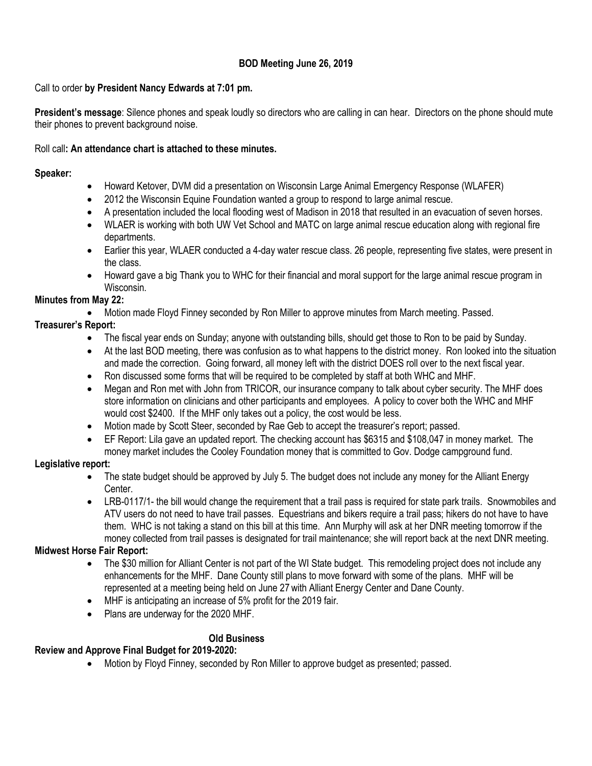# **BOD Meeting June 26, 2019**

#### Call to order **by President Nancy Edwards at 7:01 pm.**

**President's message**: Silence phones and speak loudly so directors who are calling in can hear. Directors on the phone should mute their phones to prevent background noise.

#### Roll call**: An attendance chart is attached to these minutes.**

## **Speaker:**

- Howard Ketover, DVM did a presentation on Wisconsin Large Animal Emergency Response (WLAFER)
- 2012 the Wisconsin Equine Foundation wanted a group to respond to large animal rescue.
- A presentation included the local flooding west of Madison in 2018 that resulted in an evacuation of seven horses.
- WLAER is working with both UW Vet School and MATC on large animal rescue education along with regional fire departments.
- Earlier this year, WLAER conducted a 4-day water rescue class. 26 people, representing five states, were present in the class.
- Howard gave a big Thank you to WHC for their financial and moral support for the large animal rescue program in Wisconsin.

# **Minutes from May 22:**

Motion made Floyd Finney seconded by Ron Miller to approve minutes from March meeting. Passed.

# **Treasurer's Report:**

- The fiscal year ends on Sunday; anyone with outstanding bills, should get those to Ron to be paid by Sunday.
- At the last BOD meeting, there was confusion as to what happens to the district money. Ron looked into the situation and made the correction. Going forward, all money left with the district DOES roll over to the next fiscal year.
- Ron discussed some forms that will be required to be completed by staff at both WHC and MHF.
- Megan and Ron met with John from TRICOR, our insurance company to talk about cyber security. The MHF does store information on clinicians and other participants and employees. A policy to cover both the WHC and MHF would cost \$2400. If the MHF only takes out a policy, the cost would be less.
- Motion made by Scott Steer, seconded by Rae Geb to accept the treasurer's report; passed.
- EF Report: Lila gave an updated report. The checking account has \$6315 and \$108,047 in money market. The money market includes the Cooley Foundation money that is committed to Gov. Dodge campground fund.

# **Legislative report:**

- The state budget should be approved by July 5. The budget does not include any money for the Alliant Energy Center.
- LRB-0117/1- the bill would change the requirement that a trail pass is required for state park trails. Snowmobiles and ATV users do not need to have trail passes. Equestrians and bikers require a trail pass; hikers do not have to have them. WHC is not taking a stand on this bill at this time. Ann Murphy will ask at her DNR meeting tomorrow if the money collected from trail passes is designated for trail maintenance; she will report back at the next DNR meeting.

# **Midwest Horse Fair Report:**

- The \$30 million for Alliant Center is not part of the WI State budget. This remodeling project does not include any enhancements for the MHF. Dane County still plans to move forward with some of the plans. MHF will be represented at a meeting being held on June 27 with Alliant Energy Center and Dane County.
- MHF is anticipating an increase of 5% profit for the 2019 fair.
- Plans are underway for the 2020 MHF.

# **Old Business**

# **Review and Approve Final Budget for 2019-2020:**

Motion by Floyd Finney, seconded by Ron Miller to approve budget as presented; passed.